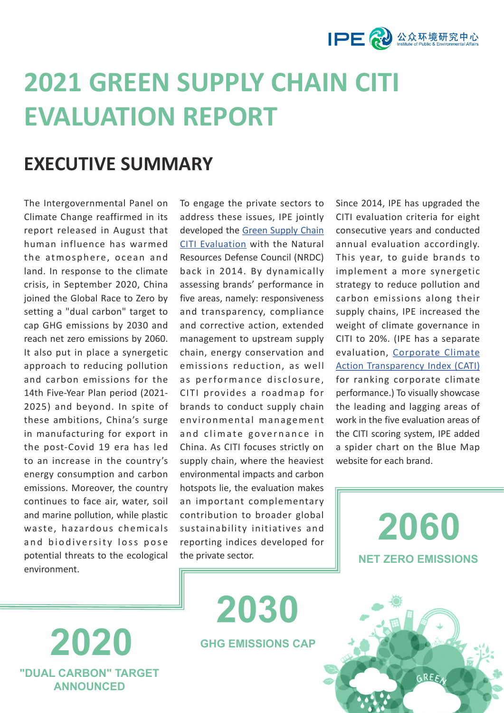

# **2021 GREEN SUPPLY CHAIN CITI EVALUATION REPORT**

### **EXECUTIVE SUMMARY**

The Intergovernmental Panel on Climate Change reaffirmed in its report released in August that human influence has warmed the atmosphere, ocean and land. In response to the climate crisis, in September 2020, China joined the Global Race to Zero by setting a "dual carbon" target to cap GHG emissions by 2030 and reach net zero emissions by 2060. It also put in place a synergetic approach to reducing pollution and carbon emissions for the 14th Five-Year Plan period (2021- 2025) and beyond. In spite of these ambitions, China's surge in manufacturing for export in the post-Covid 19 era has led to an increase in the country's energy consumption and carbon emissions. Moreover, the country continues to face air, water, soil and marine pollution, while plastic waste, hazardous chemicals and biodiversity loss pose potential threats to the ecological environment.

**2020** 

**"DUAL CARBON" TARGET ANNOUNCED**

To engage the private sectors to address these issues, IPE jointly developed the [Green Supply Chain](http://wwwen.ipe.org.cn/GreenSupplyChain/CITI.html)  [CITI Evaluation](http://wwwen.ipe.org.cn/GreenSupplyChain/CITI.html) with the Natural Resources Defense Council (NRDC) back in 2014. By dynamically assessing brands' performance in five areas, namely: responsiveness and transparency, compliance and corrective action, extended management to upstream supply chain, energy conservation and emissions reduction, as well as performance disclosure, CITI provides a roadmap for brands to conduct supply chain environmental management and climate governance in China. As CITI focuses strictly on supply chain, where the heaviest environmental impacts and carbon hotspots lie, the evaluation makes an important complementary contribution to broader global sustainability initiatives and reporting indices developed for the private sector.

**GHG EMISSIONS CAP**

**2030** 

Since 2014, IPE has upgraded the CITI evaluation criteria for eight consecutive years and conducted annual evaluation accordingly. This year, to guide brands to implement a more synergetic strategy to reduce pollution and carbon emissions along their supply chains, IPE increased the weight of climate governance in CITI to 20%. (IPE has a separate evaluation, [Corporate Climate](http://wwwen.ipe.org.cn/GreenSupplyChain/CATI.aspx)  [Action Transparency Index \(CATI\)](http://wwwen.ipe.org.cn/GreenSupplyChain/CATI.aspx) for ranking corporate climate performance.) To visually showcase the leading and lagging areas of work in the five evaluation areas of the CITI scoring system, IPE added a spider chart on the Blue Map website for each brand.

> **2060 NET ZERO EMISSIONS**

 $GREF$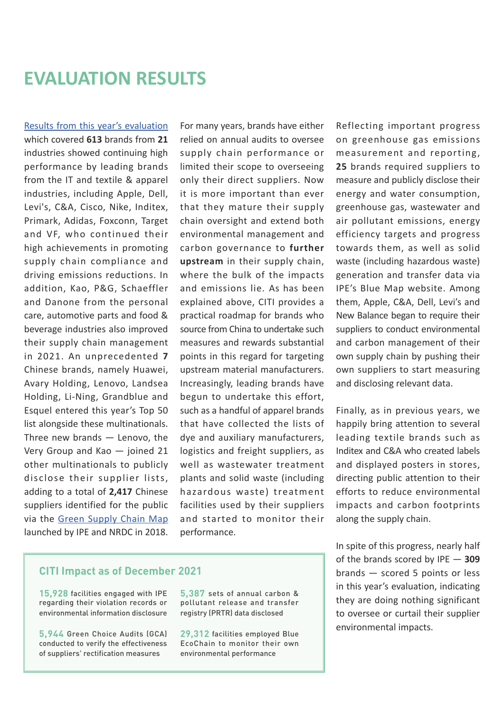### **EVALUATION RESULTS**

[Results from this year's evaluation](http://wwwen.ipe.org.cn/GreenSupplyChain/CITI.html)  which covered **613** brands from **21** industries showed continuing high performance by leading brands from the IT and textile & apparel industries, including Apple, Dell, Levi's, C&A, Cisco, Nike, Inditex, Primark, Adidas, Foxconn, Target and VF, who continued their high achievements in promoting supply chain compliance and driving emissions reductions. In addition, Kao, P&G, Schaeffler and Danone from the personal care, automotive parts and food & beverage industries also improved their supply chain management in 2021. An unprecedented **7** Chinese brands, namely Huawei, Avary Holding, Lenovo, Landsea Holding, Li-Ning, Grandblue and Esquel entered this year's Top 50 list alongside these multinationals. Three new brands — Lenovo, the Very Group and Kao — joined 21 other multinationals to publicly disclose their supplier lists, adding to a total of **2,417** Chinese suppliers identified for the public via the [Green Supply Chain Map](http://wwwen.ipe.org.cn/MapBrand/Brand.aspx?q=6) launched by IPE and NRDC in 2018.

For many years, brands have either relied on annual audits to oversee supply chain performance or limited their scope to overseeing only their direct suppliers. Now it is more important than ever that they mature their supply chain oversight and extend both environmental management and carbon governance to **further upstream** in their supply chain, where the bulk of the impacts and emissions lie. As has been explained above, CITI provides a practical roadmap for brands who source from China to undertake such measures and rewards substantial points in this regard for targeting upstream material manufacturers. Increasingly, leading brands have begun to undertake this effort, such as a handful of apparel brands that have collected the lists of dye and auxiliary manufacturers, logistics and freight suppliers, as well as wastewater treatment plants and solid waste (including hazardous waste) treatment facilities used by their suppliers and started to monitor their performance.

Reflecting important progress on greenhouse gas emissions measurement and reporting, **25** brands required suppliers to measure and publicly disclose their energy and water consumption, greenhouse gas, wastewater and air pollutant emissions, energy efficiency targets and progress towards them, as well as solid waste (including hazardous waste) generation and transfer data via IPE's Blue Map website. Among them, Apple, C&A, Dell, Levi's and New Balance began to require their suppliers to conduct environmental and carbon management of their own supply chain by pushing their own suppliers to start measuring and disclosing relevant data.

Finally, as in previous years, we happily bring attention to several leading textile brands such as Inditex and C&A who created labels and displayed posters in stores, directing public attention to their efforts to reduce environmental impacts and carbon footprints along the supply chain.

In spite of this progress, nearly half of the brands scored by IPE — **309** brands — scored 5 points or less in this year's evaluation, indicating they are doing nothing significant to oversee or curtail their supplier environmental impacts.

#### **CITI Impact as of December 2021**

**15,928** facilities engaged with IPE regarding their violation records or environmental information disclosure

**5,944** Green Choice Audits (GCA) conducted to verify the effectiveness of suppliers' rectification measures

**5,387** sets of annual carbon & pollutant release and transfer registry (PRTR) data disclosed

**29,312** facilities employed Blue EcoChain to monitor their own environmental performance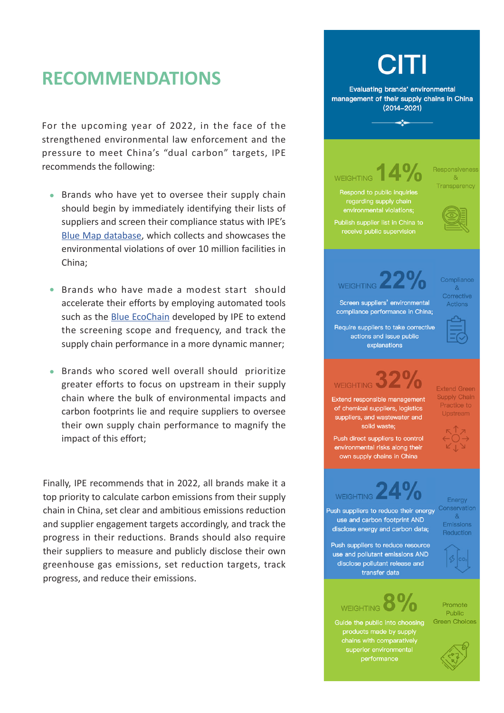### **RECOMMENDATIONS**

For the upcoming year of 2022, in the face of the strengthened environmental law enforcement and the pressure to meet China's "dual carbon" targets, IPE recommends the following:

- **Brands who have yet to oversee their supply chain** should begin by immediately identifying their lists of suppliers and screen their compliance status with IPE's [Blue Map database](http://wwwen.ipe.org.cn/IndustryRecord/Regulatory.html?keycode=4543j9f9ri334233r3rixxxyyo12), which collects and showcases the environmental violations of over 10 million facilities in China;
- Brands who have made a modest start should accelerate their efforts by employing automated tools such as the [Blue EcoChain](http://wwwen.ipe.org.cn/GreenSupplyChain/GreenEcologyChain.html) developed by IPE to extend the screening scope and frequency, and track the supply chain performance in a more dynamic manner;
- Brands who scored well overall should prioritize greater efforts to focus on upstream in their supply chain where the bulk of environmental impacts and carbon footprints lie and require suppliers to oversee their own supply chain performance to magnify the impact of this effort;

Finally, IPE recommends that in 2022, all brands make it a top priority to calculate carbon emissions from their supply chain in China, set clear and ambitious emissions reduction and supplier engagement targets accordingly, and track the progress in their reductions. Brands should also require their suppliers to measure and publicly disclose their own greenhouse gas emissions, set reduction targets, track progress, and reduce their emissions.

#### **Evaluating brands' environmental** management of their supply chains in China  $(2014 - 2021)$  $\rightarrow$ Responsiveness WEIGHTING  $R_{\rm I}$ Transparency Respond to public inquiries regarding supply chain environmental violations; Publish supplier list in China to receive public supervision Compliance **WEIGHTING**  $\mathcal{R}_{I}$ Corrective Screen suppliers' environmental Actions compliance performance in China; Require suppliers to take corrective actions and issue public explanations WEIGHTING 32<sup>°</sup> **Extend Green Supply Chain Extend responsible management** Practice to of chemical suppliers, logistics Upstream suppliers, and wastewater and solid waste: Push direct suppliers to control environmental risks along their own supply chains in China **WEIGHTING** Enerav conservation Push suppliers to reduce their energy  $8<sub>k</sub>$ use and carbon footprint AND Emissions disclose energy and carbon data; Reduction Push suppliers to reduce resource use and pollutant emissions AND disclose pollutant release and transfer data Promote **WEIGHTING** Public Green Choices Guide the public into choosing products made by supply chains with comparatively superior environmental performance